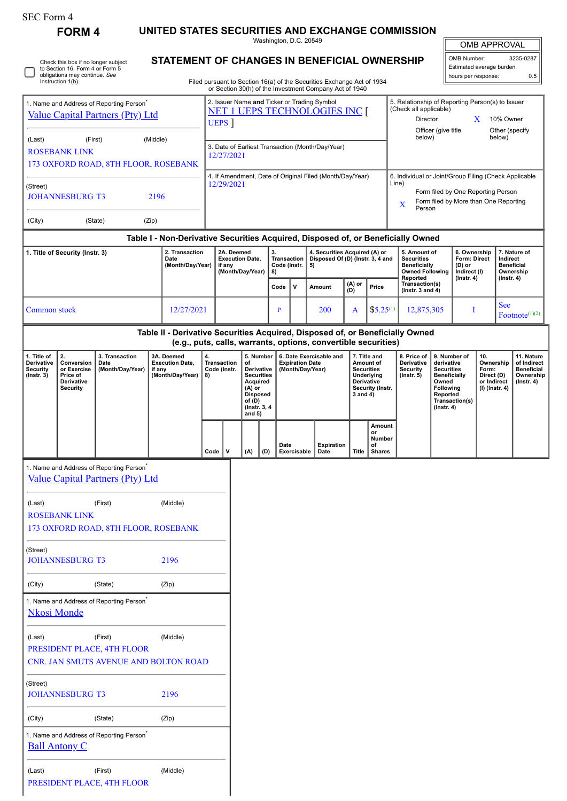∩

Check this box if no longer subject to Section 16. Form 4 or Form 5 obligations may continue. *See* Instruction 1(b).

1. Name and Address of Reporting Person

**FORM 4 UNITED STATES SECURITIES AND EXCHANGE COMMISSION**

Washington, D.C. 20549 **STATEMENT OF CHANGES IN BENEFICIAL OWNERSHIP**

| <b>OMB APPROVAL</b>      |           |  |  |  |  |
|--------------------------|-----------|--|--|--|--|
| OMB Number:              | 3235-0287 |  |  |  |  |
| Estimated average burden |           |  |  |  |  |
| hours per response:      | ሰ 5       |  |  |  |  |

Filed pursuant to Section 16(a) of the Securities Exchange Act of 1934 or Section 30(h) of the Investment Company Act of 1940

| 1. Name and Address of Reporting Person <sup>'</sup><br>Value Capital Partners (Pty) Ltd      |                                                                                                                                                                                                                                                                                                                                                                                            |                                                      |                                                                    |                                                                                                                                                 | 2. Issuer Name and Ticker or Trading Symbol<br><b>NET 1 UEPS TECHNOLOGIES INC I</b><br>UEPS <sup>]</sup> |                                                                        |          |                                                                                                |      |                                                                  |                                                                                                                                                |                           |                                                                          | 5. Relationship of Reporting Person(s) to Issuer<br>(Check all applicable)<br>10% Owner<br>Director<br>X<br>Officer (give title<br>Other (specify |                                                                                                                                                    |                                                                                |  |   |  |            |                             |
|-----------------------------------------------------------------------------------------------|--------------------------------------------------------------------------------------------------------------------------------------------------------------------------------------------------------------------------------------------------------------------------------------------------------------------------------------------------------------------------------------------|------------------------------------------------------|--------------------------------------------------------------------|-------------------------------------------------------------------------------------------------------------------------------------------------|----------------------------------------------------------------------------------------------------------|------------------------------------------------------------------------|----------|------------------------------------------------------------------------------------------------|------|------------------------------------------------------------------|------------------------------------------------------------------------------------------------------------------------------------------------|---------------------------|--------------------------------------------------------------------------|---------------------------------------------------------------------------------------------------------------------------------------------------|----------------------------------------------------------------------------------------------------------------------------------------------------|--------------------------------------------------------------------------------|--|---|--|------------|-----------------------------|
| (First)<br>(Middle)<br>(Last)<br><b>ROSEBANK LINK</b><br>173 OXFORD ROAD, 8TH FLOOR, ROSEBANK |                                                                                                                                                                                                                                                                                                                                                                                            |                                                      |                                                                    |                                                                                                                                                 | 3. Date of Earliest Transaction (Month/Day/Year)<br>12/27/2021                                           |                                                                        |          |                                                                                                |      |                                                                  |                                                                                                                                                |                           |                                                                          | below)<br>below)                                                                                                                                  |                                                                                                                                                    |                                                                                |  |   |  |            |                             |
| (Street)<br><b>JOHANNESBURG T3</b><br>2196                                                    |                                                                                                                                                                                                                                                                                                                                                                                            |                                                      |                                                                    |                                                                                                                                                 |                                                                                                          | 4. If Amendment, Date of Original Filed (Month/Day/Year)<br>12/29/2021 |          |                                                                                                |      |                                                                  |                                                                                                                                                |                           |                                                                          |                                                                                                                                                   | 6. Individual or Joint/Group Filing (Check Applicable<br>Line)<br>Form filed by One Reporting Person<br>Form filed by More than One Reporting<br>X |                                                                                |  |   |  |            |                             |
| (City)<br>(State)<br>(Zip)                                                                    |                                                                                                                                                                                                                                                                                                                                                                                            |                                                      |                                                                    |                                                                                                                                                 | Person                                                                                                   |                                                                        |          |                                                                                                |      |                                                                  |                                                                                                                                                |                           |                                                                          |                                                                                                                                                   |                                                                                                                                                    |                                                                                |  |   |  |            |                             |
|                                                                                               |                                                                                                                                                                                                                                                                                                                                                                                            |                                                      |                                                                    | Table I - Non-Derivative Securities Acquired, Disposed of, or Beneficially Owned                                                                |                                                                                                          |                                                                        |          |                                                                                                |      |                                                                  |                                                                                                                                                |                           |                                                                          |                                                                                                                                                   |                                                                                                                                                    |                                                                                |  |   |  |            |                             |
| 1. Title of Security (Instr. 3)<br>2. Transaction<br>Date<br>(Month/Day/Year)                 |                                                                                                                                                                                                                                                                                                                                                                                            |                                                      | 2A. Deemed<br><b>Execution Date,</b><br>if any<br>(Month/Day/Year) |                                                                                                                                                 |                                                                                                          | 3.<br><b>Transaction</b><br>Code (Instr.<br>8)                         |          | 4. Securities Acquired (A) or<br>Disposed Of (D) (Instr. 3, 4 and<br>5)                        |      |                                                                  | 5. Amount of<br><b>Securities</b><br><b>Beneficially</b><br><b>Owned Following</b><br>Reported                                                 |                           |                                                                          | 6. Ownership<br>Form: Direct<br>(D) or<br>Indirect (I)<br>$($ Instr. 4 $)$                                                                        |                                                                                                                                                    | 7. Nature of<br>Indirect<br><b>Beneficial</b><br>Ownership<br>$($ Instr. 4 $)$ |  |   |  |            |                             |
|                                                                                               |                                                                                                                                                                                                                                                                                                                                                                                            |                                                      |                                                                    |                                                                                                                                                 |                                                                                                          |                                                                        |          |                                                                                                | Code | v                                                                |                                                                                                                                                | Amount                    | (A) or<br>(D)                                                            | Price                                                                                                                                             |                                                                                                                                                    | Transaction(s)<br>(Instr. 3 and $4$ )                                          |  |   |  |            |                             |
| <b>Common stock</b>                                                                           |                                                                                                                                                                                                                                                                                                                                                                                            |                                                      |                                                                    | 12/27/2021                                                                                                                                      |                                                                                                          |                                                                        |          |                                                                                                | P    |                                                                  |                                                                                                                                                | 200                       | A                                                                        | $$5.25^{(1)}$$                                                                                                                                    |                                                                                                                                                    | 12,875,305                                                                     |  | I |  | <b>See</b> | $\text{ Footnote}^{(1)(2)}$ |
|                                                                                               |                                                                                                                                                                                                                                                                                                                                                                                            |                                                      |                                                                    | Table II - Derivative Securities Acquired, Disposed of, or Beneficially Owned<br>(e.g., puts, calls, warrants, options, convertible securities) |                                                                                                          |                                                                        |          |                                                                                                |      |                                                                  |                                                                                                                                                |                           |                                                                          |                                                                                                                                                   |                                                                                                                                                    |                                                                                |  |   |  |            |                             |
| 1. Title of<br>Derivative<br>Security<br>$($ Instr. $3)$                                      | 2.<br>3. Transaction<br>3A. Deemed<br>5. Number<br>4.<br><b>Execution Date,</b><br><b>Transaction</b><br>Conversion<br>of<br>Date<br>or Exercise<br>(Month/Day/Year)<br>Code (Instr.<br>Derivative<br>if any<br>(Month/Day/Year)<br><b>Securities</b><br>Price of<br>8)<br>Derivative<br>Acquired<br><b>Security</b><br>$(A)$ or<br><b>Disposed</b><br>of (D)<br>(Instr. 3, 4)<br>and $5)$ |                                                      |                                                                    | <b>Expiration Date</b><br>(Month/Day/Year)                                                                                                      |                                                                                                          | 6. Date Exercisable and                                                | 3 and 4) | 7. Title and<br>Amount of<br><b>Securities</b><br>Underlying<br>Derivative<br>Security (Instr. |      | 8. Price of<br>Derivative<br><b>Security</b><br>$($ lnstr. 5 $)$ | 9. Number of<br>derivative<br><b>Securities</b><br><b>Beneficially</b><br>Owned<br>Following<br>Reported<br>Transaction(s)<br>$($ Instr. 4 $)$ |                           | 10.<br>Ownership<br>Form:<br>Direct (D)<br>or Indirect<br>(I) (Instr. 4) |                                                                                                                                                   | 11. Nature<br>of Indirect<br><b>Beneficial</b><br>Ownership<br>$($ Instr. 4 $)$                                                                    |                                                                                |  |   |  |            |                             |
|                                                                                               |                                                                                                                                                                                                                                                                                                                                                                                            |                                                      |                                                                    |                                                                                                                                                 | Code                                                                                                     | $\mathsf{v}$                                                           | (A)      | (D)                                                                                            | Date | Exercisable                                                      |                                                                                                                                                | <b>Expiration</b><br>Date | Title                                                                    | Amount<br>or<br>Number<br>of<br><b>Shares</b>                                                                                                     |                                                                                                                                                    |                                                                                |  |   |  |            |                             |
|                                                                                               | 1. Name and Address of Reporting Person <sup>®</sup><br>Value Capital Partners (Pty) Ltd                                                                                                                                                                                                                                                                                                   |                                                      |                                                                    |                                                                                                                                                 |                                                                                                          |                                                                        |          |                                                                                                |      |                                                                  |                                                                                                                                                |                           |                                                                          |                                                                                                                                                   |                                                                                                                                                    |                                                                                |  |   |  |            |                             |
| (Last)                                                                                        |                                                                                                                                                                                                                                                                                                                                                                                            | (First)                                              |                                                                    | (Middle)                                                                                                                                        |                                                                                                          |                                                                        |          |                                                                                                |      |                                                                  |                                                                                                                                                |                           |                                                                          |                                                                                                                                                   |                                                                                                                                                    |                                                                                |  |   |  |            |                             |
|                                                                                               | <b>ROSEBANK LINK</b>                                                                                                                                                                                                                                                                                                                                                                       | 173 OXFORD ROAD, 8TH FLOOR, ROSEBANK                 |                                                                    |                                                                                                                                                 |                                                                                                          |                                                                        |          |                                                                                                |      |                                                                  |                                                                                                                                                |                           |                                                                          |                                                                                                                                                   |                                                                                                                                                    |                                                                                |  |   |  |            |                             |
| (Street)                                                                                      | <b>JOHANNESBURG T3</b>                                                                                                                                                                                                                                                                                                                                                                     |                                                      |                                                                    | 2196                                                                                                                                            |                                                                                                          |                                                                        |          |                                                                                                |      |                                                                  |                                                                                                                                                |                           |                                                                          |                                                                                                                                                   |                                                                                                                                                    |                                                                                |  |   |  |            |                             |
| (City)                                                                                        |                                                                                                                                                                                                                                                                                                                                                                                            | (State)                                              | (Zip)                                                              |                                                                                                                                                 |                                                                                                          |                                                                        |          |                                                                                                |      |                                                                  |                                                                                                                                                |                           |                                                                          |                                                                                                                                                   |                                                                                                                                                    |                                                                                |  |   |  |            |                             |
|                                                                                               | <b>Nkosi Monde</b>                                                                                                                                                                                                                                                                                                                                                                         | 1. Name and Address of Reporting Person <sup>*</sup> |                                                                    |                                                                                                                                                 |                                                                                                          |                                                                        |          |                                                                                                |      |                                                                  |                                                                                                                                                |                           |                                                                          |                                                                                                                                                   |                                                                                                                                                    |                                                                                |  |   |  |            |                             |
| (Last)                                                                                        |                                                                                                                                                                                                                                                                                                                                                                                            | (First)<br>PRESIDENT PLACE, 4TH FLOOR                |                                                                    | (Middle)                                                                                                                                        |                                                                                                          |                                                                        |          |                                                                                                |      |                                                                  |                                                                                                                                                |                           |                                                                          |                                                                                                                                                   |                                                                                                                                                    |                                                                                |  |   |  |            |                             |
|                                                                                               |                                                                                                                                                                                                                                                                                                                                                                                            | <b>CNR. JAN SMUTS AVENUE AND BOLTON ROAD</b>         |                                                                    |                                                                                                                                                 |                                                                                                          |                                                                        |          |                                                                                                |      |                                                                  |                                                                                                                                                |                           |                                                                          |                                                                                                                                                   |                                                                                                                                                    |                                                                                |  |   |  |            |                             |
| (Street)                                                                                      | <b>JOHANNESBURG T3</b>                                                                                                                                                                                                                                                                                                                                                                     |                                                      |                                                                    | 2196                                                                                                                                            |                                                                                                          |                                                                        |          |                                                                                                |      |                                                                  |                                                                                                                                                |                           |                                                                          |                                                                                                                                                   |                                                                                                                                                    |                                                                                |  |   |  |            |                             |
| (City)                                                                                        |                                                                                                                                                                                                                                                                                                                                                                                            | (State)                                              | (Zip)                                                              |                                                                                                                                                 |                                                                                                          |                                                                        |          |                                                                                                |      |                                                                  |                                                                                                                                                |                           |                                                                          |                                                                                                                                                   |                                                                                                                                                    |                                                                                |  |   |  |            |                             |
|                                                                                               | <b>Ball Antony C</b>                                                                                                                                                                                                                                                                                                                                                                       | 1. Name and Address of Reporting Person <sup>*</sup> |                                                                    |                                                                                                                                                 |                                                                                                          |                                                                        |          |                                                                                                |      |                                                                  |                                                                                                                                                |                           |                                                                          |                                                                                                                                                   |                                                                                                                                                    |                                                                                |  |   |  |            |                             |
| (Last)                                                                                        |                                                                                                                                                                                                                                                                                                                                                                                            | (First)<br>PRESIDENT PLACE, 4TH FLOOR                |                                                                    | (Middle)                                                                                                                                        |                                                                                                          |                                                                        |          |                                                                                                |      |                                                                  |                                                                                                                                                |                           |                                                                          |                                                                                                                                                   |                                                                                                                                                    |                                                                                |  |   |  |            |                             |